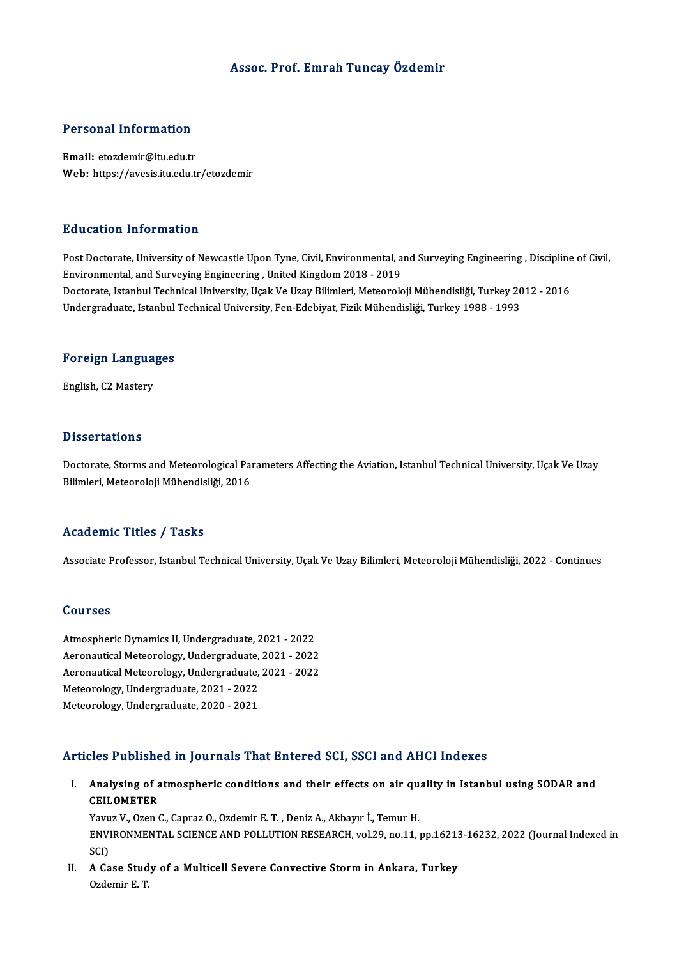### Assoc. Prof. Emrah Tuncay Özdemir

### Personal Information

Email: etozdemir@itu.edu.tr Web: https://avesis.itu.edu.tr/etozdemir

#### Education Information

Education Information<br>Post Doctorate, University of Newcastle Upon Tyne, Civil, Environmental, and Surveying Engineering , Discipline of Civil,<br>Environmental and Surveying Engineering, United Kingdom 2019, 2019. Eu d'oderon Throt Inderon<br>Post Doctorate, University of Newcastle Upon Tyne, Civil, Environmental, a<br>Environmental, and Surveying Engineering , United Kingdom 2018 - 2019<br>Doctorate, Istanbul Technical University, Usek Ve U Post Doctorate, University of Newcastle Upon Tyne, Civil, Environmental, and Surveying Engineering , Discipline<br>Environmental, and Surveying Engineering , United Kingdom 2018 - 2019<br>Doctorate, Istanbul Technical University Environmental, and Surveying Engineering , United Kingdom 2018 - 2019<br>Doctorate, Istanbul Technical University, Uçak Ve Uzay Bilimleri, Meteoroloji Mühendisliği, Turkey 20<br>Undergraduate, Istanbul Technical University, Fen-

# <sub>ondergraduate, istanbul</sub><br>Foreign Languages F<mark>oreign Langua</mark><br>English, C2 Mastery

English, C2 Mastery<br>Dissertations

Dissertations<br>Doctorate, Storms and Meteorological Parameters Affecting the Aviation, Istanbul Technical University, Uçak Ve Uzay<br>Rilimlori, Meteoroloji Mühandieliği, 2016 Bilbook tatrome<br>Doctorate, Storms and Meteorological Pai<br>Bilimleri, Meteoroloji Mühendisliği, 2016 Bilimleri, Meteoroloji Mühendisliği, 2016<br>Academic Titles / Tasks

Associate Professor, Istanbul Technical University, Uçak Ve Uzay Bilimleri, Meteoroloji Mühendisliği, 2022 - Continues

#### Courses

Atmospheric Dynamics II, Undergraduate, 2021 - 2022 abarroco<br>Atmospheric Dynamics II, Undergraduate, 2021 - 2022<br>Aeronautical Meteorology, Undergraduate, 2021 - 2022<br>Aeronautical Meteorology, Undergraduate, 2021 - 2022 Atmospheric Dynamics II, Undergraduate, 2021 - 2022<br>Aeronautical Meteorology, Undergraduate, 2021 - 2022<br>Aeronautical Meteorology, Undergraduate, 2021 - 2022<br>Meteorology, Undergraduate, 2021, 2022 Aeronautical Meteorology, Undergraduate,<br>Aeronautical Meteorology, Undergraduate,<br>Meteorology, Undergraduate, 2021 - 2022<br>Meteorology, Undergraduate, 2020, 2021 Aeronautical Meteorology, Undergraduate, 2021 - 2022<br>Meteorology, Undergraduate, 2021 - 2022<br>Meteorology, Undergraduate, 2020 - 2021

#### Articles Published in Journals That Entered SCI, SSCI and AHCI Indexes

rticles Published in Journals That Entered SCI, SSCI and AHCI Indexes<br>I. Analysing of atmospheric conditions and their effects on air quality in Istanbul using SODAR and<br>CEU OMETER Analysing of a<br>Analysing of a<br>CEILOMETER<br>Young V. Ozen ( Analysing of atmospheric conditions and their effects on air que<br>CEILOMETER<br>Yavuz V., Ozen C., Capraz O., Ozdemir E. T. , Deniz A., Akbayır İ., Temur H.<br>ENVIRONMENTAL SCIENCE AND POLLUTION RESEARCH .val 39 no.11 .

CEILOMETER<br>Yavuz V., Ozen C., Capraz O., Ozdemir E. T. , Deniz A., Akbayır İ., Temur H.<br>ENVIRONMENTAL SCIENCE AND POLLUTION RESEARCH, vol.29, no.11, pp.16213-16232, 2022 (Journal Indexed in<br>SCD Yavu<br>ENV<br>SCI)<br>A Co ENVIRONMENTAL SCIENCE AND POLLUTION RESEARCH, vol.29, no.11, pp.16213<br>SCI)<br>II. A Case Study of a Multicell Severe Convective Storm in Ankara, Turkey<br>Ordomin E.T.

SCI)<br>II. A Case Study of a Multicell Severe Convective Storm in Ankara, Turkey<br>Ozdemir E.T.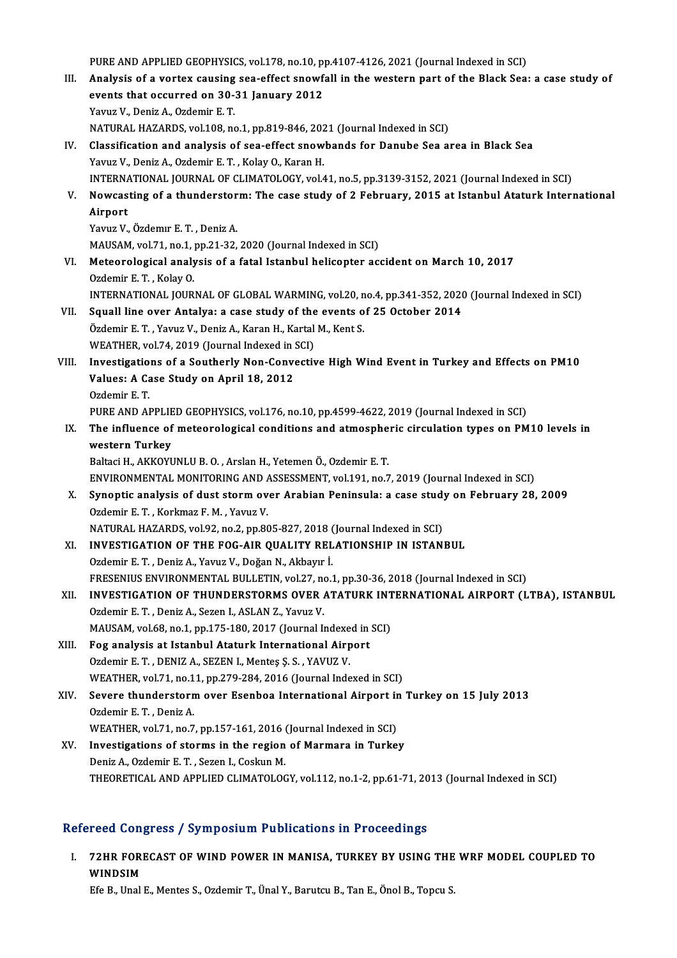PURE AND APPLIED GEOPHYSICS, vol.178, no.10, pp.4107-4126, 2021 (Journal Indexed in SCI)<br>Analysis of a venter saveing see offect anowfoll in the western part of the Plack See

- III. Analysis of a vortex causing sea-effect snowfall in the western part of the Black Sea: a case study of PURE AND APPLIED GEOPHYSICS, vol.178, no.10, p<br>Analysis of a vortex causing sea-effect snowf<br>events that occurred on 30-31 January 2012<br>Yanua V, Doniz A, Ordomin E T events that occurred on 30-31 January 2012<br>Yavuz V., Deniz A., Ozdemir E. T. NATURAL HAZARDS, vol.108, no.1, pp.819-846, 2021 (Journal Indexed in SCI)
- IV. Classification and analysis of sea-effect snowbands for Danube Sea area in Black Sea Yavuz V., Deniz A., Ozdemir E. T., Kolay O., Karan H. INTERNATIONAL JOURNAL OF CLIMATOLOGY, vol.41, no.5, pp.3139-3152, 2021 (Journal Indexed in SCI) Yavuz V., Deniz A., Ozdemir E. T. , Kolay O., Karan H.<br>INTERNATIONAL JOURNAL OF CLIMATOLOGY, vol.41, no.5, pp.3139-3152, 2021 (Journal Indexed in SCI)<br>V. Nowcasting of a thunderstorm: The case study of 2 February, 2015

### INTERNA<br>Nowcas<br>Airport<br><sup>Voruz V</sup> Nowcasting of a thunderstor<br>Airport<br>Yavuz V., Özdemır E.T., Deniz A.<br>MAUSAM Yol 71, no 1, no 21, 22. Airport<br>Yavuz V., Özdemır E. T. , Deniz A.<br>MAUSAM, vol.71, no.1, pp.21-32, 2020 (Journal Indexed in SCI)

VI. Meteorological analysis of a fatal Istanbul helicopter accident onMarch 10, 2017 Ozdemir E.T., Kolay O. Meteorological analysis of a fatal Istanbul helicopter accident on March 10, 2017<br>Ozdemir E. T. , Kolay O.<br>INTERNATIONAL JOURNAL OF GLOBAL WARMING, vol.20, no.4, pp.341-352, 2020 (Journal Indexed in SCI)<br>Sauell line over A Ozdemir E. T., Kolay O.<br>INTERNATIONAL JOURNAL OF GLOBAL WARMING, vol.20, no.4, pp.341-352, 2020<br>VII. Squall line over Antalya: a case study of the events of 25 October 2014

- INTERNATIONAL JOURNAL OF GLOBAL WARMING, vol.20, n<br>Squall line over Antalya: a case study of the events o<br>Özdemir E.T., Yavuz V., Deniz A., Karan H., Kartal M., Kent S.<br>WEATUEP, vol.74, 2019 (Jaurnal Indaved in SCL) VII. Squall line over Antalya: a case study of the events of 25 October 2014<br>Özdemir E. T. , Yavuz V., Deniz A., Karan H., Kartal M., Kent S.<br>WEATHER, vol.74, 2019 (Journal Indexed in SCI)
- Özdemir E. T. , Yavuz V., Deniz A., Karan H., Kartal M., Kent S.<br>WEATHER, vol.74, 2019 (Journal Indexed in SCI)<br>VIII. Investigations of a Southerly Non-Convective High Wind Event in Turkey and Effects on PM10<br>Volves: A Cos WEATHER, vol.74, 2019 (Journal Indexed in :<br>Investigations of a Southerly Non-Conve<br>Values: A Case Study on April 18, 2012<br>Ordemin E T Investigatio<br>Values: A Ca<br>Ozdemir E. T.<br>PUPE AND AI Values: A Case Study on April 18, 2012<br>Ozdemir E. T.<br>PURE AND APPLIED GEOPHYSICS, vol.176, no.10, pp.4599-4622, 2019 (Journal Indexed in SCI)

## Ozdemir E. T.<br>PURE AND APPLIED GEOPHYSICS, vol.176, no.10, pp.4599-4622, 2019 (Journal Indexed in SCI)<br>IX. The influence of meteorological conditions and atmospheric circulation types on PM10 levels in<br>western Turkey PURE AND APPLIE<br>The influence of<br>western Turkey<br>Poltagi H AKKOVI The influence of meteorological conditions and atmosphe<br>western Turkey<br>Baltaci H., AKKOYUNLU B. O. , Arslan H., Yetemen Ö., Ozdemir E. T.<br>ENWRONMENTAL MONITORING AND ASSESSMENT vol.191, no.7 western Turkey<br>Baltaci H., AKKOYUNLU B. O. , Arslan H., Yetemen Ö., Ozdemir E. T.<br>ENVIRONMENTAL MONITORING AND ASSESSMENT, vol.191, no.7, 2019 (Journal Indexed in SCI)<br>Synontis analysis of dust sterm over Arabian Boninsula

## Baltaci H., AKKOYUNLU B. O. , Arslan H., Yetemen Ö., Ozdemir E. T.<br>ENVIRONMENTAL MONITORING AND ASSESSMENT, vol.191, no.7, 2019 (Journal Indexed in SCI)<br>X. Synoptic analysis of dust storm over Arabian Peninsula: a case stu ENVIRONMENTAL MONITORING AND A<br>Synoptic analysis of dust storm ov<br>Ozdemir E.T., Korkmaz F.M., Yavuz V.<br>NATUPAL HAZAPDS vol 93, no 3, np 90 Synoptic analysis of dust storm over Arabian Peninsula: a case study<br>Ozdemir E. T. , Korkmaz F. M. , Yavuz V.<br>NATURAL HAZARDS, vol.92, no.2, pp.805-827, 2018 (Journal Indexed in SCI)<br>INVESTIC ATION OF THE FOC AIR OUALITY R

XI. INVESTIGATION OF THE FOG-AIR QUALITY RELATIONSHIP IN ISTANBUL Ozdemir E. T., Deniz A., Yavuz V., Doğan N., Akbayır İ. NATURAL HAZARDS, vol.92, no.2, pp.805-827, 2018 (<br>INVESTIGATION OF THE FOG-AIR QUALITY REL<br>Ozdemir E. T. , Deniz A., Yavuz V., Doğan N., Akbayır İ.<br>ERESENIJIS ENVIRONMENTAL BIJI LETIN vol.27, no.1 INVESTIGATION OF THE FOG-AIR QUALITY RELATIONSHIP IN ISTANBUL<br>Ozdemir E. T. , Deniz A., Yavuz V., Doğan N., Akbayır İ.<br>FRESENIUS ENVIRONMENTAL BULLETIN, vol.27, no.1, pp.30-36, 2018 (Journal Indexed in SCI)<br>INVESTIC ATION Ozdemir E. T. , Deniz A., Yavuz V., Doğan N., Akbayır İ.<br>FRESENIUS ENVIRONMENTAL BULLETIN, vol.27, no.1, pp.30-36, 2018 (Journal Indexed in SCI)<br>XII. INVESTIGATION OF THUNDERSTORMS OVER ATATURK INTERNATIONAL AIRPORT (LTBA)

## FRESENIUS ENVIRONMENTAL BULLETIN, vol.27, no<br>INVESTIGATION OF THUNDERSTORMS OVER <br>Ozdemir E.T. , Deniz A., Sezen I., ASLAN Z., Yavuz V.<br>MAUSAM vol.69, no.1, nn.175, 190, 2017 (Journal I. INVESTIGATION OF THUNDERSTORMS OVER ATATURK INT<br>Ozdemir E. T. , Deniz A., Sezen I., ASLAN Z., Yavuz V.<br>MAUSAM, vol.68, no.1, pp.175-180, 2017 (Journal Indexed in SCI)<br>Fog analysis at Istanbul Atatual: International Ainpart

MAUSAM, vol.68, no.1, pp.175-180, 2017 (Journal Indexed in SCI)

- Ozdemir E. T. , Deniz A., Sezen I., ASLAN Z., Yavuz V.<br>MAUSAM, vol.68, no.1, pp.175-180, 2017 (Journal Indexed in NIII.<br>Fog analysis at Istanbul Ataturk International Airport<br>Ozdemir E. T. , DENIZ A., SEZEN I., Mentes S. S Fog analysis at Istanbul Ataturk International Airport<br>Ozdemir E. T. , DENIZ A., SEZEN I., Menteş Ş. S. , YAVUZ V.<br>WEATHER, vol.71, no.11, pp.279-284, 2016 (Journal Indexed in SCI)<br>Severe thundersterm ever Esephee Internat
- XIV. Severe thunderstormover Esenboa International Airport in Turkey on 15 July 2013 WEATHER, vol.71, no.1<br>Severe thunderstorn<br>Ozdemir E. T. , Deniz A.<br>WEATUEP, vol.71, no.7 Severe thunderstorm over Esenboa International Airport in<br>Ozdemir E. T. , Deniz A.<br>WEATHER, vol.71, no.7, pp.157-161, 2016 (Journal Indexed in SCI)<br>Investigations of storms in the region of Mormara in Turke
- XV. Investigations of storms in the region of Marmara in Turkey<br>Deniz A., Ozdemir E. T., Sezen I., Coskun M. WEATHER, vol.71, no.7, pp.157-161, 2016<br>Investigations of storms in the region<br>Deniz A., Ozdemir E. T. , Sezen I., Coskun M.<br>THEOPETICAL AND APPLIED CLIMATOLOG THEORETICAL AND APPLIED CLIMATOLOGY, vol.112, no.1-2, pp.61-71, 2013 (Journal Indexed in SCI)

### Refereed Congress / Symposium Publications in Proceedings

efereed Congress / Symposium Publications in Proceedings<br>I. 72HR FORECAST OF WIND POWER IN MANISA, TURKEY BY USING THE WRF MODEL COUPLED TO THE FORM<br>WINDSIM<br>WINDSIM 72HR FORECAST OF WIND POWER IN MANISA, TURKEY BY USING THE<br>WINDSIM<br>Efe B., Unal E., Mentes S., Ozdemir T., Ünal Y., Barutcu B., Tan E., Önol B., Topcu S.